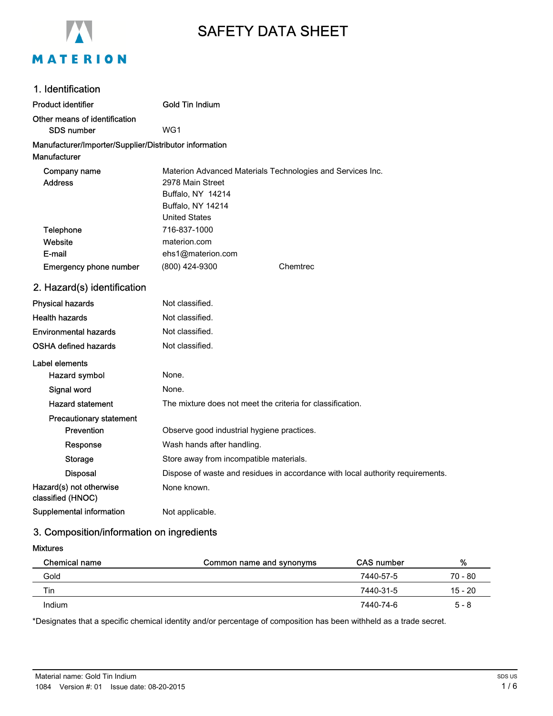

# SAFETY DATA SHEET

| 1. Identification                                      |                                                                                |
|--------------------------------------------------------|--------------------------------------------------------------------------------|
| <b>Product identifier</b>                              | Gold Tin Indium                                                                |
| Other means of identification                          |                                                                                |
| <b>SDS number</b>                                      | WG1                                                                            |
| Manufacturer/Importer/Supplier/Distributor information |                                                                                |
| <b>Manufacturer</b>                                    |                                                                                |
| Company name                                           | Materion Advanced Materials Technologies and Services Inc.                     |
| <b>Address</b>                                         | 2978 Main Street                                                               |
|                                                        | Buffalo, NY 14214                                                              |
|                                                        | Buffalo, NY 14214                                                              |
|                                                        | <b>United States</b>                                                           |
| Telephone                                              | 716-837-1000                                                                   |
| Website                                                | materion.com                                                                   |
| E-mail                                                 | ehs1@materion.com                                                              |
| <b>Emergency phone number</b>                          | (800) 424-9300<br>Chemtrec                                                     |
| 2. Hazard(s) identification                            |                                                                                |
| <b>Physical hazards</b>                                | Not classified.                                                                |
| <b>Health hazards</b>                                  | Not classified.                                                                |
| <b>Environmental hazards</b>                           | Not classified.                                                                |
| <b>OSHA defined hazards</b>                            | Not classified.                                                                |
| Label elements                                         |                                                                                |
| Hazard symbol                                          | None.                                                                          |
| Signal word                                            | None.                                                                          |
| <b>Hazard statement</b>                                | The mixture does not meet the criteria for classification.                     |
| <b>Precautionary statement</b>                         |                                                                                |
| Prevention                                             | Observe good industrial hygiene practices.                                     |
| Response                                               | Wash hands after handling.                                                     |
| <b>Storage</b>                                         | Store away from incompatible materials.                                        |
| <b>Disposal</b>                                        | Dispose of waste and residues in accordance with local authority requirements. |
| Hazard(s) not otherwise<br>classified (HNOC)           | None known.                                                                    |
| <b>Supplemental information</b>                        | Not applicable.                                                                |

# 3. Composition/information on ingredients

Mixtures

| Chemical name | Common name and synonyms | <b>CAS</b> number | %         |
|---------------|--------------------------|-------------------|-----------|
| Gold          |                          | 7440-57-5         | 70 - 80   |
| Tin           |                          | 7440-31-5         | $15 - 20$ |
| Indium        |                          | 7440-74-6         | $5 - 8$   |

\*Designates that a specific chemical identity and/or percentage of composition has been withheld as a trade secret.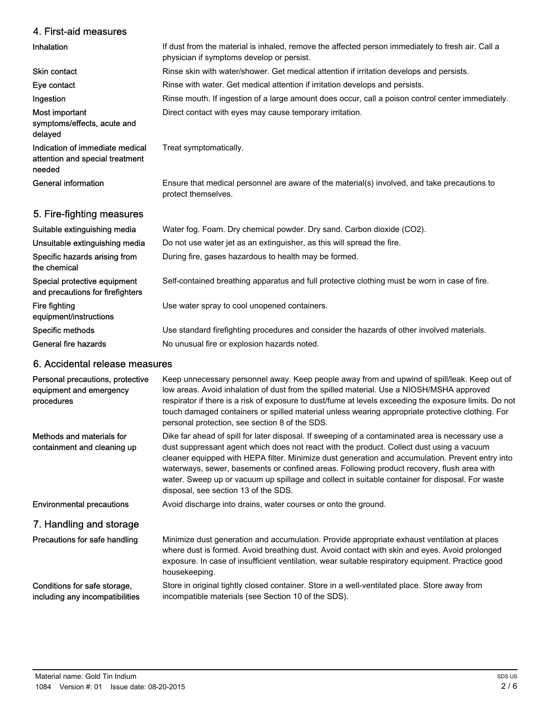# 4. First-aid measures

| Inhalation                                                                   | If dust from the material is inhaled, remove the affected person immediately to fresh air. Call a<br>physician if symptoms develop or persist. |
|------------------------------------------------------------------------------|------------------------------------------------------------------------------------------------------------------------------------------------|
| Skin contact                                                                 | Rinse skin with water/shower. Get medical attention if irritation develops and persists.                                                       |
| Eye contact                                                                  | Rinse with water. Get medical attention if irritation develops and persists.                                                                   |
| Ingestion                                                                    | Rinse mouth. If ingestion of a large amount does occur, call a poison control center immediately.                                              |
| Most important<br>symptoms/effects, acute and<br>delayed                     | Direct contact with eyes may cause temporary irritation.                                                                                       |
| Indication of immediate medical<br>attention and special treatment<br>needed | Treat symptomatically.                                                                                                                         |
| General information                                                          | Ensure that medical personnel are aware of the material(s) involved, and take precautions to<br>protect themselves.                            |
| 5. Fire-fighting measures                                                    |                                                                                                                                                |
| Suitable extinguishing media                                                 | Water fog. Foam. Dry chemical powder. Dry sand. Carbon dioxide (CO2).                                                                          |

| <b>Oullanic cyrilly lilly lillegia</b>                           | <i>vvalgi 10g. I dani. Diy chemical powder. Diy sand. Oarbon dioxide (OOZ).</i>               |
|------------------------------------------------------------------|-----------------------------------------------------------------------------------------------|
| Unsuitable extinguishing media                                   | Do not use water jet as an extinguisher, as this will spread the fire.                        |
| Specific hazards arising from<br>the chemical                    | During fire, gases hazardous to health may be formed.                                         |
| Special protective equipment<br>and precautions for firefighters | Self-contained breathing apparatus and full protective clothing must be worn in case of fire. |
| Fire fighting<br>equipment/instructions                          | Use water spray to cool unopened containers.                                                  |
| Specific methods                                                 | Use standard firefighting procedures and consider the hazards of other involved materials.    |
| General fire hazards                                             | No unusual fire or explosion hazards noted.                                                   |
|                                                                  |                                                                                               |

# 6. Accidental release measures

| Personal precautions, protective<br>equipment and emergency<br>procedures | Keep unnecessary personnel away. Keep people away from and upwind of spill/leak. Keep out of<br>low areas. Avoid inhalation of dust from the spilled material. Use a NIOSH/MSHA approved<br>respirator if there is a risk of exposure to dust/fume at levels exceeding the exposure limits. Do not<br>touch damaged containers or spilled material unless wearing appropriate protective clothing. For<br>personal protection, see section 8 of the SDS.                                                                                    |
|---------------------------------------------------------------------------|---------------------------------------------------------------------------------------------------------------------------------------------------------------------------------------------------------------------------------------------------------------------------------------------------------------------------------------------------------------------------------------------------------------------------------------------------------------------------------------------------------------------------------------------|
| Methods and materials for<br>containment and cleaning up                  | Dike far ahead of spill for later disposal. If sweeping of a contaminated area is necessary use a<br>dust suppressant agent which does not react with the product. Collect dust using a vacuum<br>cleaner equipped with HEPA filter. Minimize dust generation and accumulation. Prevent entry into<br>waterways, sewer, basements or confined areas. Following product recovery, flush area with<br>water. Sweep up or vacuum up spillage and collect in suitable container for disposal. For waste<br>disposal, see section 13 of the SDS. |
| <b>Environmental precautions</b>                                          | Avoid discharge into drains, water courses or onto the ground.                                                                                                                                                                                                                                                                                                                                                                                                                                                                              |
| 7. Handling and storage                                                   |                                                                                                                                                                                                                                                                                                                                                                                                                                                                                                                                             |
| Precautions for safe handling                                             | Minimize dust generation and accumulation. Provide appropriate exhaust ventilation at places<br>where dust is formed. Avoid breathing dust. Avoid contact with skin and eyes. Avoid prolonged<br>exposure. In case of insufficient ventilation, wear suitable respiratory equipment. Practice good<br>housekeeping.                                                                                                                                                                                                                         |
| Conditions for safe storage,<br>including any incompatibilities           | Store in original tightly closed container. Store in a well-ventilated place. Store away from<br>incompatible materials (see Section 10 of the SDS).                                                                                                                                                                                                                                                                                                                                                                                        |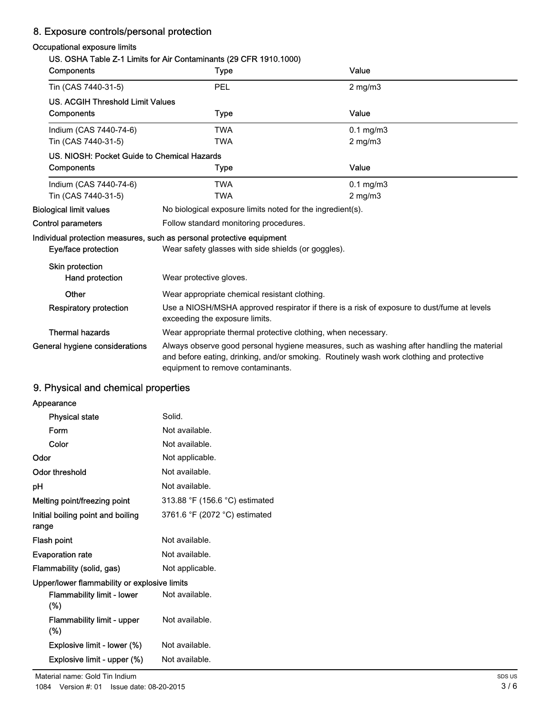# 8. Exposure controls/personal protection

## Occupational exposure limits

# US. OSHA Table Z-1 Limits for Air Contaminants (29 CFR 1910.1000)

| Components                                  | <b>VIIIIVIVIVOV</b><br><b>Type</b>                                                                                           | Value                                                                                                                                                                                  |
|---------------------------------------------|------------------------------------------------------------------------------------------------------------------------------|----------------------------------------------------------------------------------------------------------------------------------------------------------------------------------------|
| Tin (CAS 7440-31-5)                         | PEL                                                                                                                          | $2$ mg/m $3$                                                                                                                                                                           |
| <b>US. ACGIH Threshold Limit Values</b>     |                                                                                                                              |                                                                                                                                                                                        |
| Components                                  | Type                                                                                                                         | Value                                                                                                                                                                                  |
| Indium (CAS 7440-74-6)                      | <b>TWA</b>                                                                                                                   | $0.1$ mg/m $3$                                                                                                                                                                         |
| Tin (CAS 7440-31-5)                         | <b>TWA</b>                                                                                                                   | $2$ mg/m $3$                                                                                                                                                                           |
| US. NIOSH: Pocket Guide to Chemical Hazards |                                                                                                                              |                                                                                                                                                                                        |
| Components                                  | Type                                                                                                                         | Value                                                                                                                                                                                  |
| Indium (CAS 7440-74-6)                      | <b>TWA</b>                                                                                                                   | $0.1$ mg/m $3$                                                                                                                                                                         |
| Tin (CAS 7440-31-5)                         | <b>TWA</b>                                                                                                                   | $2 \text{ mg/m}$                                                                                                                                                                       |
| <b>Biological limit values</b>              | No biological exposure limits noted for the ingredient(s).                                                                   |                                                                                                                                                                                        |
| Control parameters                          | Follow standard monitoring procedures.                                                                                       |                                                                                                                                                                                        |
|                                             | Individual protection measures, such as personal protective equipment                                                        |                                                                                                                                                                                        |
| Eye/face protection                         | Wear safety glasses with side shields (or goggles).                                                                          |                                                                                                                                                                                        |
| <b>Skin protection</b>                      |                                                                                                                              |                                                                                                                                                                                        |
| Hand protection                             | Wear protective gloves.                                                                                                      |                                                                                                                                                                                        |
| Other                                       | Wear appropriate chemical resistant clothing.                                                                                |                                                                                                                                                                                        |
| <b>Respiratory protection</b>               | Use a NIOSH/MSHA approved respirator if there is a risk of exposure to dust/fume at levels<br>exceeding the exposure limits. |                                                                                                                                                                                        |
| <b>Thermal hazards</b>                      | Wear appropriate thermal protective clothing, when necessary.                                                                |                                                                                                                                                                                        |
| General hygiene considerations              | equipment to remove contaminants.                                                                                            | Always observe good personal hygiene measures, such as washing after handling the material<br>and before eating, drinking, and/or smoking. Routinely wash work clothing and protective |

# 9. Physical and chemical properties

| Appearance                                   |                                |
|----------------------------------------------|--------------------------------|
| <b>Physical state</b>                        | Solid.                         |
| Form                                         | Not available.                 |
| Color                                        | Not available.                 |
| Odor                                         | Not applicable.                |
| Odor threshold                               | Not available.                 |
| рH                                           | Not available.                 |
| Melting point/freezing point                 | 313.88 °F (156.6 °C) estimated |
| Initial boiling point and boiling<br>range   | 3761.6 °F (2072 °C) estimated  |
| Flash point                                  | Not available.                 |
| <b>Evaporation rate</b>                      | Not available.                 |
| Flammability (solid, gas)                    | Not applicable.                |
| Upper/lower flammability or explosive limits |                                |
| Flammability limit - lower<br>$(\%)$         | Not available.                 |
| Flammability limit - upper<br>$(\%)$         | Not available.                 |
| Explosive limit - lower (%)                  | Not available.                 |
| Explosive limit - upper (%)                  | Not available.                 |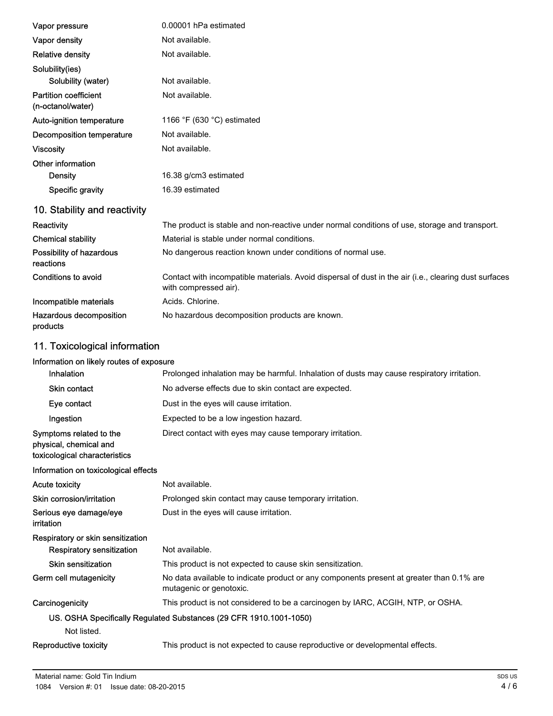| Vapor pressure                                                                     | 0.00001 hPa estimated                                                                                                          |
|------------------------------------------------------------------------------------|--------------------------------------------------------------------------------------------------------------------------------|
| Vapor density                                                                      | Not available.                                                                                                                 |
| <b>Relative density</b>                                                            | Not available.                                                                                                                 |
| Solubility(ies)                                                                    |                                                                                                                                |
| Solubility (water)                                                                 | Not available.                                                                                                                 |
| <b>Partition coefficient</b><br>(n-octanol/water)                                  | Not available.                                                                                                                 |
| Auto-ignition temperature                                                          | 1166 $\degree$ F (630 $\degree$ C) estimated                                                                                   |
| Decomposition temperature                                                          | Not available.                                                                                                                 |
| <b>Viscosity</b>                                                                   | Not available.                                                                                                                 |
| Other information                                                                  |                                                                                                                                |
| <b>Density</b>                                                                     | 16.38 g/cm3 estimated                                                                                                          |
| <b>Specific gravity</b>                                                            | 16.39 estimated                                                                                                                |
| 10. Stability and reactivity                                                       |                                                                                                                                |
| Reactivity                                                                         | The product is stable and non-reactive under normal conditions of use, storage and transport.                                  |
| <b>Chemical stability</b>                                                          | Material is stable under normal conditions.                                                                                    |
| Possibility of hazardous<br>reactions                                              | No dangerous reaction known under conditions of normal use.                                                                    |
| Conditions to avoid                                                                | Contact with incompatible materials. Avoid dispersal of dust in the air (i.e., clearing dust surfaces<br>with compressed air). |
| Incompatible materials                                                             | Acids. Chlorine.                                                                                                               |
| Hazardous decomposition<br>products                                                | No hazardous decomposition products are known.                                                                                 |
| 11. Toxicological information                                                      |                                                                                                                                |
| Information on likely routes of exposure                                           |                                                                                                                                |
| Inhalation                                                                         | Prolonged inhalation may be harmful. Inhalation of dusts may cause respiratory irritation.                                     |
| <b>Skin contact</b>                                                                | No adverse effects due to skin contact are expected.                                                                           |
| Eye contact                                                                        | Dust in the eyes will cause irritation.                                                                                        |
| Ingestion                                                                          | Expected to be a low ingestion hazard.                                                                                         |
| Symptoms related to the<br>physical, chemical and<br>toxicological characteristics | Direct contact with eyes may cause temporary irritation.                                                                       |
| Information on toxicological effects                                               |                                                                                                                                |
| <b>Acute toxicity</b>                                                              | Not available.                                                                                                                 |
| Skin corrosion/irritation                                                          | Prolonged skin contact may cause temporary irritation.                                                                         |
| Serious eye damage/eye<br>irritation                                               | Dust in the eyes will cause irritation.                                                                                        |
| Respiratory or skin sensitization                                                  |                                                                                                                                |
| <b>Respiratory sensitization</b>                                                   | Not available.                                                                                                                 |
| <b>Skin sensitization</b>                                                          | This product is not expected to cause skin sensitization.                                                                      |
| Germ cell mutagenicity                                                             | No data available to indicate product or any components present at greater than 0.1% are<br>mutagenic or genotoxic.            |
| Carcinogenicity                                                                    | This product is not considered to be a carcinogen by IARC, ACGIH, NTP, or OSHA.                                                |
|                                                                                    | US. OSHA Specifically Regulated Substances (29 CFR 1910.1001-1050)                                                             |
| Not listed.                                                                        |                                                                                                                                |

Reproductive toxicity This product is not expected to cause reproductive or developmental effects.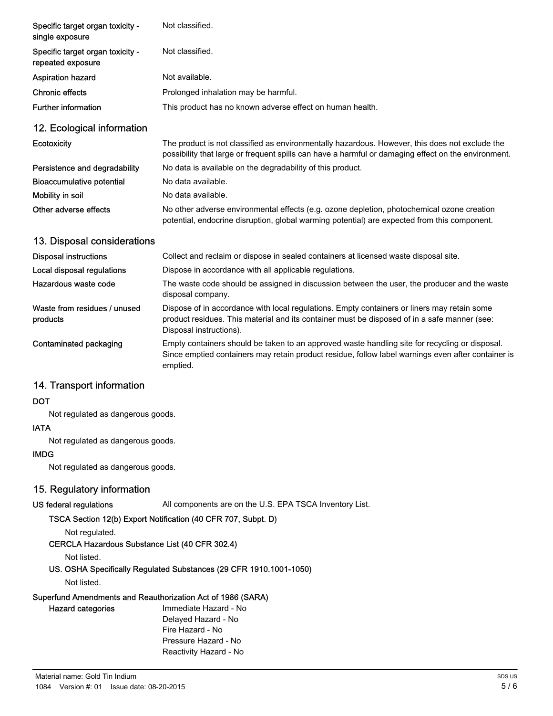| Specific target organ toxicity -<br>single exposure   | Not classified.                                                                                                                                                                                                        |
|-------------------------------------------------------|------------------------------------------------------------------------------------------------------------------------------------------------------------------------------------------------------------------------|
| Specific target organ toxicity -<br>repeated exposure | Not classified.                                                                                                                                                                                                        |
| <b>Aspiration hazard</b>                              | Not available.                                                                                                                                                                                                         |
| <b>Chronic effects</b>                                | Prolonged inhalation may be harmful.                                                                                                                                                                                   |
| <b>Further information</b>                            | This product has no known adverse effect on human health.                                                                                                                                                              |
| 12. Ecological information                            |                                                                                                                                                                                                                        |
| <b>Ecotoxicity</b>                                    | The product is not classified as environmentally hazardous. However, this does not exclude the<br>possibility that large or frequent spills can have a harmful or damaging effect on the environment.                  |
| Persistence and degradability                         | No data is available on the degradability of this product.                                                                                                                                                             |
| Bioaccumulative potential                             | No data available.                                                                                                                                                                                                     |
| Mobility in soil                                      | No data available.                                                                                                                                                                                                     |
| Other adverse effects                                 | No other adverse environmental effects (e.g. ozone depletion, photochemical ozone creation<br>potential, endocrine disruption, global warming potential) are expected from this component.                             |
| 13. Disposal considerations                           |                                                                                                                                                                                                                        |
| <b>Disposal instructions</b>                          | Collect and reclaim or dispose in sealed containers at licensed waste disposal site.                                                                                                                                   |
| Local disposal regulations                            | Dispose in accordance with all applicable regulations.                                                                                                                                                                 |
| Hazardous waste code                                  | The waste code should be assigned in discussion between the user, the producer and the waste<br>disposal company.                                                                                                      |
| Waste from residues / unused<br>products              | Dispose of in accordance with local regulations. Empty containers or liners may retain some<br>product residues. This material and its container must be disposed of in a safe manner (see:<br>Disposal instructions). |
| <b>Contaminated packaging</b>                         | Empty containers should be taken to an approved waste handling site for recycling or disposal.<br>Since emptied containers may retain product residue, follow label warnings even after container is                   |

# 14. Transport information

#### **DOT**

Not regulated as dangerous goods.

#### IATA

Not regulated as dangerous goods.

#### IMDG

Not regulated as dangerous goods.

# 15. Regulatory information

US federal regulations All components are on the U.S. EPA TSCA Inventory List.

## TSCA Section 12(b) Export Notification (40 CFR 707, Subpt. D)

# Not regulated.

# CERCLA Hazardous Substance List (40 CFR 302.4)

Not listed.

# US. OSHA Specifically Regulated Substances (29 CFR 1910.1001-1050)

emptied.

Not listed.

#### Superfund Amendments and Reauthorization Act of 1986 (SARA)

Hazard categories

Immediate Hazard - No Delayed Hazard - No Fire Hazard - No Pressure Hazard - No Reactivity Hazard - No